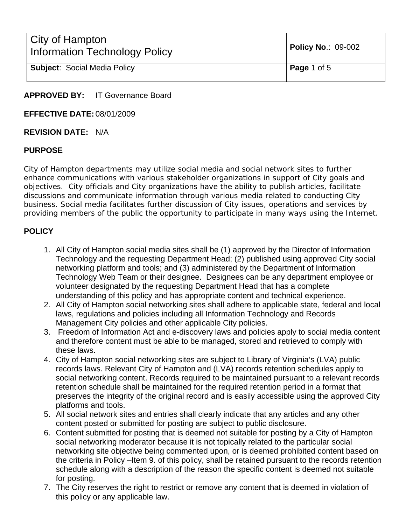| City of Hampton<br>Information Technology Policy | <b>Policy No.: 09-002</b> |
|--------------------------------------------------|---------------------------|
| <b>Subject: Social Media Policy</b>              | Page 1 of 5               |

**APPROVED BY:** IT Governance Board

**EFFECTIVE DATE:** 08/01/2009

#### **REVISION DATE:** N/A

#### **PURPOSE**

City of Hampton departments may utilize social media and social network sites to further enhance communications with various stakeholder organizations in support of City goals and objectives. City officials and City organizations have the ability to publish articles, facilitate discussions and communicate information through various media related to conducting City business. Social media facilitates further discussion of City issues, operations and services by providing members of the public the opportunity to participate in many ways using the Internet.

# **POLICY**

- 1. All City of Hampton social media sites shall be (1) approved by the Director of Information Technology and the requesting Department Head; (2) published using approved City social networking platform and tools; and (3) administered by the Department of Information Technology Web Team or their designee. Designees can be any department employee or volunteer designated by the requesting Department Head that has a complete understanding of this policy and has appropriate content and technical experience.
- 2. All City of Hampton social networking sites shall adhere to applicable state, federal and local laws, regulations and policies including all Information Technology and Records Management City policies and other applicable City policies.
- 3. Freedom of Information Act and e-discovery laws and policies apply to social media content and therefore content must be able to be managed, stored and retrieved to comply with these laws.
- 4. City of Hampton social networking sites are subject to Library of Virginia's (LVA) public records laws. Relevant City of Hampton and (LVA) records retention schedules apply to social networking content. Records required to be maintained pursuant to a relevant records retention schedule shall be maintained for the required retention period in a format that preserves the integrity of the original record and is easily accessible using the approved City platforms and tools.
- 5. All social network sites and entries shall clearly indicate that any articles and any other content posted or submitted for posting are subject to public disclosure.
- 6. Content submitted for posting that is deemed not suitable for posting by a City of Hampton social networking moderator because it is not topically related to the particular social networking site objective being commented upon, or is deemed prohibited content based on the criteria in Policy –Item 9. of this policy, shall be retained pursuant to the records retention schedule along with a description of the reason the specific content is deemed not suitable for posting.
- 7. The City reserves the right to restrict or remove any content that is deemed in violation of this policy or any applicable law.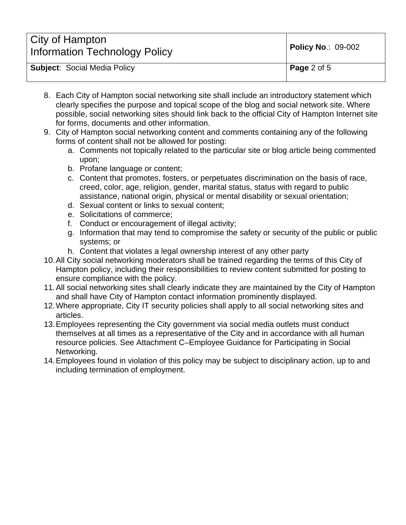| City of Hampton<br><b>Information Technology Policy</b> | <b>Policy No.: 09-002</b> |
|---------------------------------------------------------|---------------------------|
| <b>Subject: Social Media Policy</b>                     | <b>Page</b> 2 of 5        |

- 8. Each City of Hampton social networking site shall include an introductory statement which clearly specifies the purpose and topical scope of the blog and social network site. Where possible, social networking sites should link back to the official City of Hampton Internet site for forms, documents and other information.
- 9. City of Hampton social networking content and comments containing any of the following forms of content shall not be allowed for posting:
	- a. Comments not topically related to the particular site or blog article being commented upon;
	- b. Profane language or content;
	- c. Content that promotes, fosters, or perpetuates discrimination on the basis of race, creed, color, age, religion, gender, marital status, status with regard to public assistance, national origin, physical or mental disability or sexual orientation;
	- d. Sexual content or links to sexual content;
	- e. Solicitations of commerce;
	- f. Conduct or encouragement of illegal activity;
	- g. Information that may tend to compromise the safety or security of the public or public systems; or
	- h. Content that violates a legal ownership interest of any other party
- 10. All City social networking moderators shall be trained regarding the terms of this City of Hampton policy, including their responsibilities to review content submitted for posting to ensure compliance with the policy.
- 11. All social networking sites shall clearly indicate they are maintained by the City of Hampton and shall have City of Hampton contact information prominently displayed.
- 12. Where appropriate, City IT security policies shall apply to all social networking sites and articles.
- 13. Employees representing the City government via social media outlets must conduct themselves at all times as a representative of the City and in accordance with all human resource policies. See Attachment C–Employee Guidance for Participating in Social Networking.
- 14. Employees found in violation of this policy may be subject to disciplinary action, up to and including termination of employment.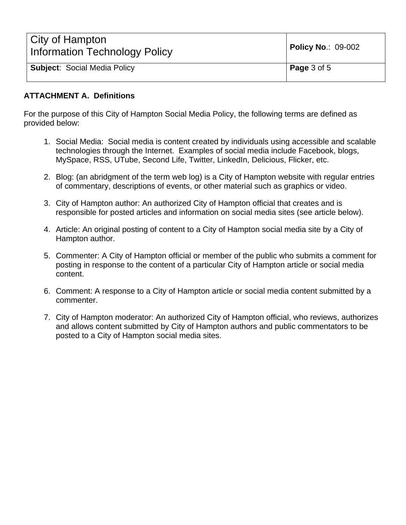| City of Hampton<br><b>Information Technology Policy</b> | <b>Policy No.: 09-002</b> |
|---------------------------------------------------------|---------------------------|
| <b>Subject: Social Media Policy</b>                     | <b>Page</b> 3 of 5        |

## **ATTACHMENT A. Definitions**

For the purpose of this City of Hampton Social Media Policy, the following terms are defined as provided below:

- 1. Social Media: Social media is content created by individuals using accessible and scalable technologies through the Internet. Examples of social media include Facebook, blogs, MySpace, RSS, UTube, Second Life, Twitter, LinkedIn, Delicious, Flicker, etc.
- 2. Blog: (an abridgment of the term web log) is a City of Hampton website with regular entries of commentary, descriptions of events, or other material such as graphics or video.
- 3. City of Hampton author: An authorized City of Hampton official that creates and is responsible for posted articles and information on social media sites (see article below).
- 4. Article: An original posting of content to a City of Hampton social media site by a City of Hampton author.
- 5. Commenter: A City of Hampton official or member of the public who submits a comment for posting in response to the content of a particular City of Hampton article or social media content.
- 6. Comment: A response to a City of Hampton article or social media content submitted by a commenter.
- 7. City of Hampton moderator: An authorized City of Hampton official, who reviews, authorizes and allows content submitted by City of Hampton authors and public commentators to be posted to a City of Hampton social media sites.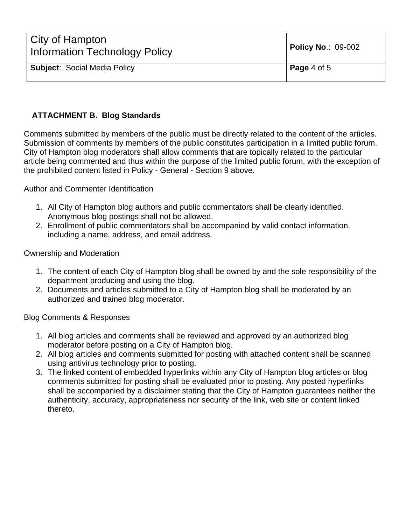| City of Hampton<br><b>Information Technology Policy</b> | <b>Policy No.: 09-002</b> |
|---------------------------------------------------------|---------------------------|
| <b>Subject: Social Media Policy</b>                     | Page 4 of 5               |

## **ATTACHMENT B. Blog Standards**

Comments submitted by members of the public must be directly related to the content of the articles. Submission of comments by members of the public constitutes participation in a limited public forum. City of Hampton blog moderators shall allow comments that are topically related to the particular article being commented and thus within the purpose of the limited public forum, with the exception of the prohibited content listed in Policy - General - Section 9 above.

Author and Commenter Identification

- 1. All City of Hampton blog authors and public commentators shall be clearly identified. Anonymous blog postings shall not be allowed.
- 2. Enrollment of public commentators shall be accompanied by valid contact information, including a name, address, and email address.

Ownership and Moderation

- 1. The content of each City of Hampton blog shall be owned by and the sole responsibility of the department producing and using the blog.
- 2. Documents and articles submitted to a City of Hampton blog shall be moderated by an authorized and trained blog moderator.

Blog Comments & Responses

- 1. All blog articles and comments shall be reviewed and approved by an authorized blog moderator before posting on a City of Hampton blog.
- 2. All blog articles and comments submitted for posting with attached content shall be scanned using antivirus technology prior to posting.
- 3. The linked content of embedded hyperlinks within any City of Hampton blog articles or blog comments submitted for posting shall be evaluated prior to posting. Any posted hyperlinks shall be accompanied by a disclaimer stating that the City of Hampton guarantees neither the authenticity, accuracy, appropriateness nor security of the link, web site or content linked thereto.